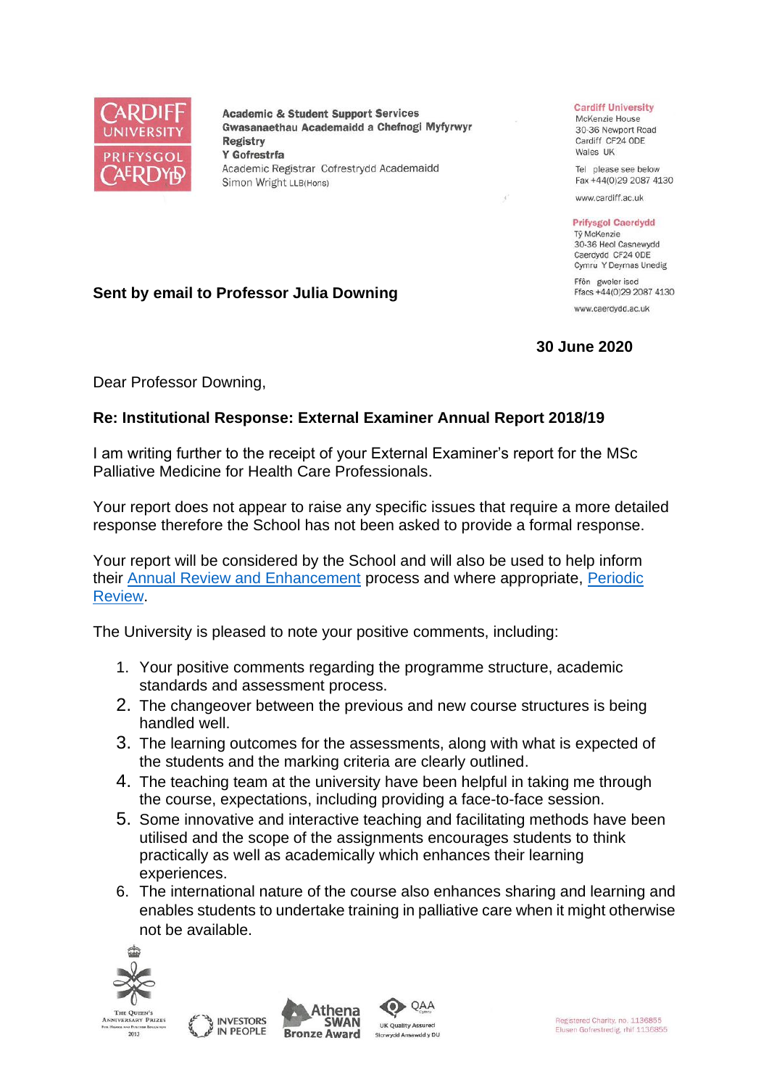

**Academic & Student Support Services** Gwasanaethau Academaidd a Chefnogi Myfyrwyr **Registry** Y Gofrestrfa Academic Registrar Cofrestrydd Academaidd Simon Wright LLB(Hons)

## **Cardiff University**

McKenzie House 30-36 Newport Road Cardiff CF24 ODE Wales UK

Tel please see below Fax +44(0)29 2087 4130

www.cardiff.ac.uk

## **Prifysgol Caerdydd**

Tỷ McKenzie 30-36 Heol Casnewydd Caerdydd CF24 ODE Cymru Y Deyrnas Unedig

Ffôn gweler isod Ffacs +44(0)29 2087 4130 www.caerdydd.ac.uk

## **30 June 2020**

**Sent by email to Professor Julia Downing**

Dear Professor Downing,

## **Re: Institutional Response: External Examiner Annual Report 2018/19**

I am writing further to the receipt of your External Examiner's report for the MSc Palliative Medicine for Health Care Professionals.

Your report does not appear to raise any specific issues that require a more detailed response therefore the School has not been asked to provide a formal response.

Your report will be considered by the School and will also be used to help inform their [Annual Review and Enhancement](https://www.cardiff.ac.uk/public-information/quality-and-standards/monitoring-and-review/annual-review-and-enhancement) process and where appropriate, [Periodic](http://www.cardiff.ac.uk/public-information/quality-and-standards/monitoring-and-review/periodic-review)  [Review.](http://www.cardiff.ac.uk/public-information/quality-and-standards/monitoring-and-review/periodic-review)

The University is pleased to note your positive comments, including:

- 1. Your positive comments regarding the programme structure, academic standards and assessment process.
- 2. The changeover between the previous and new course structures is being handled well.
- 3. The learning outcomes for the assessments, along with what is expected of the students and the marking criteria are clearly outlined.
- 4. The teaching team at the university have been helpful in taking me through the course, expectations, including providing a face-to-face session.
- 5. Some innovative and interactive teaching and facilitating methods have been utilised and the scope of the assignments encourages students to think practically as well as academically which enhances their learning experiences.
- 6. The international nature of the course also enhances sharing and learning and enables students to undertake training in palliative care when it might otherwise not be available.

QAA